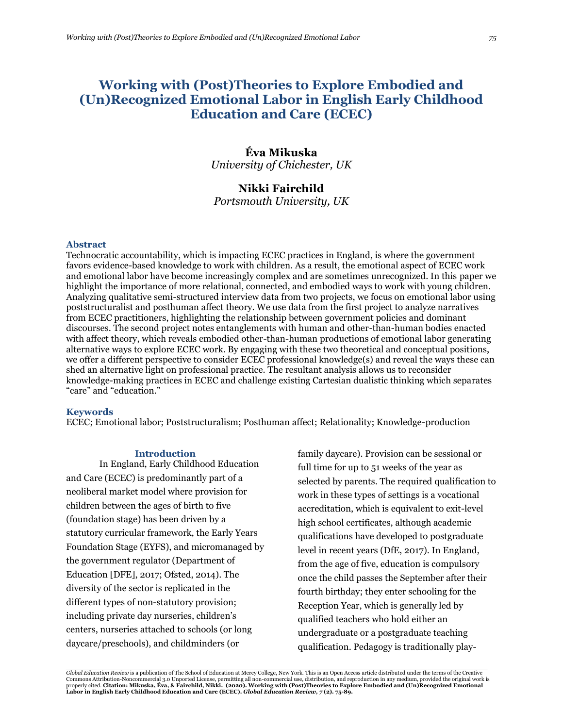# **Working with (Post)Theories to Explore Embodied and (Un)Recognized Emotional Labor in English Early Childhood Education and Care (ECEC)**

## **Éva Mikuska** *University of Chichester, UK*

## **Nikki Fairchild**

*Portsmouth University, UK*

#### **Abstract**

Technocratic accountability, which is impacting ECEC practices in England, is where the government favors evidence-based knowledge to work with children. As a result, the emotional aspect of ECEC work and emotional labor have become increasingly complex and are sometimes unrecognized. In this paper we highlight the importance of more relational, connected, and embodied ways to work with young children. Analyzing qualitative semi-structured interview data from two projects, we focus on emotional labor using poststructuralist and posthuman affect theory. We use data from the first project to analyze narratives from ECEC practitioners, highlighting the relationship between government policies and dominant discourses. The second project notes entanglements with human and other-than-human bodies enacted with affect theory, which reveals embodied other-than-human productions of emotional labor generating alternative ways to explore ECEC work. By engaging with these two theoretical and conceptual positions, we offer a different perspective to consider ECEC professional knowledge(s) and reveal the ways these can shed an alternative light on professional practice. The resultant analysis allows us to reconsider knowledge-making practices in ECEC and challenge existing Cartesian dualistic thinking which separates "care" and "education."

#### **Keywords**

ECEC; Emotional labor; Poststructuralism; Posthuman affect; Relationality; Knowledge-production

#### **Introduction**

In England, Early Childhood Education and Care (ECEC) is predominantly part of a neoliberal market model where provision for children between the ages of birth to five (foundation stage) has been driven by a statutory curricular framework, the Early Years Foundation Stage (EYFS), and micromanaged by the government regulator (Department of Education [DFE], 2017; Ofsted, 2014). The diversity of the sector is replicated in the different types of non-statutory provision; including private day nurseries, children's centers, nurseries attached to schools (or long daycare/preschools), and childminders (or

family daycare). Provision can be sessional or full time for up to 51 weeks of the year as selected by parents. The required qualification to work in these types of settings is a vocational accreditation, which is equivalent to exit-level high school certificates, although academic qualifications have developed to postgraduate level in recent years (DfE, 2017). In England, from the age of five, education is compulsory once the child passes the September after their fourth birthday; they enter schooling for the Reception Year, which is generally led by qualified teachers who hold either an undergraduate or a postgraduate teaching qualification. Pedagogy is traditionally play-

.<br>Global Education Review is a publication of The School of Education at Mercy College, New York. This is an Open Access article distributed under the terms of the Creative Commons Attribution-Noncommercial 3.0 Unported License, permitting all non-commercial use, distribution, and reproduction in any medium, provided the original work is<br>properly cited. C**itation: Mikuska, Éva, & Fairchild, N**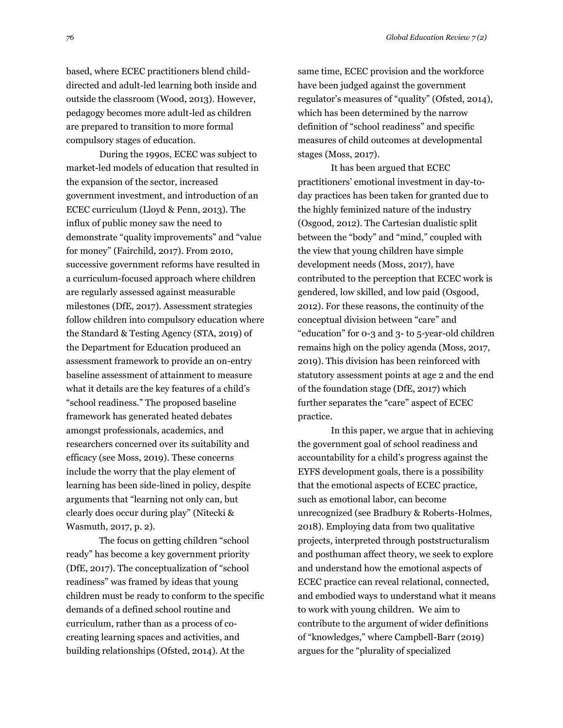based, where ECEC practitioners blend childdirected and adult-led learning both inside and outside the classroom (Wood, 2013). However, pedagogy becomes more adult-led as children are prepared to transition to more formal compulsory stages of education.

During the 1990s, ECEC was subject to market-led models of education that resulted in the expansion of the sector, increased government investment, and introduction of an ECEC curriculum (Lloyd & Penn, 2013). The influx of public money saw the need to demonstrate "quality improvements" and "value for money" (Fairchild, 2017). From 2010, successive government reforms have resulted in a curriculum-focused approach where children are regularly assessed against measurable milestones (DfE, 2017). Assessment strategies follow children into compulsory education where the Standard & Testing Agency (STA, 2019) of the Department for Education produced an assessment framework to provide an on-entry baseline assessment of attainment to measure what it details are the key features of a child's "school readiness." The proposed baseline framework has generated heated debates amongst professionals, academics, and researchers concerned over its suitability and efficacy (see Moss, 2019). These concerns include the worry that the play element of learning has been side-lined in policy, despite arguments that "learning not only can, but clearly does occur during play" (Nitecki & Wasmuth, 2017, p. 2).

The focus on getting children "school ready" has become a key government priority (DfE, 2017). The conceptualization of "school readiness" was framed by ideas that young children must be ready to conform to the specific demands of a defined school routine and curriculum, rather than as a process of cocreating learning spaces and activities, and building relationships (Ofsted, 2014). At the

same time, ECEC provision and the workforce have been judged against the government regulator's measures of "quality" (Ofsted, 2014), which has been determined by the narrow definition of "school readiness" and specific measures of child outcomes at developmental stages (Moss, 2017).

It has been argued that ECEC practitioners' emotional investment in day-today practices has been taken for granted due to the highly feminized nature of the industry (Osgood, 2012). The Cartesian dualistic split between the "body" and "mind," coupled with the view that young children have simple development needs (Moss, 2017), have contributed to the perception that ECEC work is gendered, low skilled, and low paid (Osgood, 2012). For these reasons, the continuity of the conceptual division between "care" and "education" for 0-3 and 3- to 5-year-old children remains high on the policy agenda (Moss, 2017, 2019). This division has been reinforced with statutory assessment points at age 2 and the end of the foundation stage (DfE, 2017) which further separates the "care" aspect of ECEC practice.

In this paper, we argue that in achieving the government goal of school readiness and accountability for a child's progress against the EYFS development goals, there is a possibility that the emotional aspects of ECEC practice, such as emotional labor, can become unrecognized (see Bradbury & Roberts-Holmes, 2018). Employing data from two qualitative projects, interpreted through poststructuralism and posthuman affect theory, we seek to explore and understand how the emotional aspects of ECEC practice can reveal relational, connected, and embodied ways to understand what it means to work with young children. We aim to contribute to the argument of wider definitions of "knowledges," where Campbell-Barr (2019) argues for the "plurality of specialized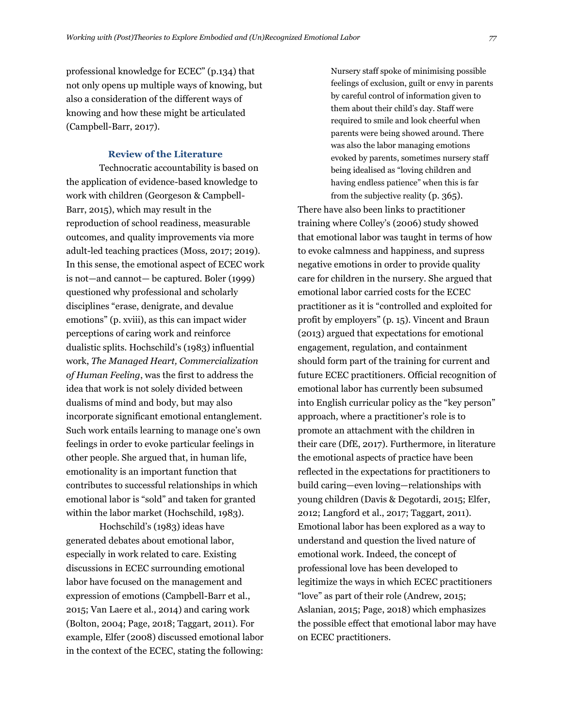professional knowledge for ECEC" (p.134) that not only opens up multiple ways of knowing, but also a consideration of the different ways of knowing and how these might be articulated (Campbell-Barr, 2017).

#### **Review of the Literature**

Technocratic accountability is based on the application of evidence-based knowledge to work with children (Georgeson & Campbell-Barr, 2015), which may result in the reproduction of school readiness, measurable outcomes, and quality improvements via more adult-led teaching practices (Moss, 2017; 2019). In this sense, the emotional aspect of ECEC work is not—and cannot— be captured. Boler (1999) questioned why professional and scholarly disciplines "erase, denigrate, and devalue emotions" (p. xviii), as this can impact wider perceptions of caring work and reinforce dualistic splits. Hochschild's (1983) influential work, *The Managed Heart, Commercialization of Human Feeling*, was the first to address the idea that work is not solely divided between dualisms of mind and body, but may also incorporate significant emotional entanglement. Such work entails learning to manage one's own feelings in order to evoke particular feelings in other people. She argued that, in human life, emotionality is an important function that contributes to successful relationships in which emotional labor is "sold" and taken for granted within the labor market (Hochschild, 1983).

Hochschild's (1983) ideas have generated debates about emotional labor, especially in work related to care. Existing discussions in ECEC surrounding emotional labor have focused on the management and expression of emotions (Campbell-Barr et al., 2015; Van Laere et al., 2014) and caring work (Bolton, 2004; Page, 2018; Taggart, 2011). For example, Elfer (2008) discussed emotional labor in the context of the ECEC, stating the following: Nursery staff spoke of minimising possible feelings of exclusion, guilt or envy in parents by careful control of information given to them about their child's day. Staff were required to smile and look cheerful when parents were being showed around. There was also the labor managing emotions evoked by parents, sometimes nursery staff being idealised as "loving children and having endless patience" when this is far from the subjective reality (p. 365).

There have also been links to practitioner training where Colley's (2006) study showed that emotional labor was taught in terms of how to evoke calmness and happiness, and supress negative emotions in order to provide quality care for children in the nursery. She argued that emotional labor carried costs for the ECEC practitioner as it is "controlled and exploited for profit by employers" (p. 15). Vincent and Braun (2013) argued that expectations for emotional engagement, regulation, and containment should form part of the training for current and future ECEC practitioners. Official recognition of emotional labor has currently been subsumed into English curricular policy as the "key person" approach, where a practitioner's role is to promote an attachment with the children in their care (DfE, 2017). Furthermore, in literature the emotional aspects of practice have been reflected in the expectations for practitioners to build caring—even loving—relationships with young children (Davis & Degotardi, 2015; Elfer, 2012; Langford et al., 2017; Taggart, 2011). Emotional labor has been explored as a way to understand and question the lived nature of emotional work. Indeed, the concept of professional love has been developed to legitimize the ways in which ECEC practitioners "love" as part of their role (Andrew, 2015; Aslanian, 2015; Page, 2018) which emphasizes the possible effect that emotional labor may have on ECEC practitioners.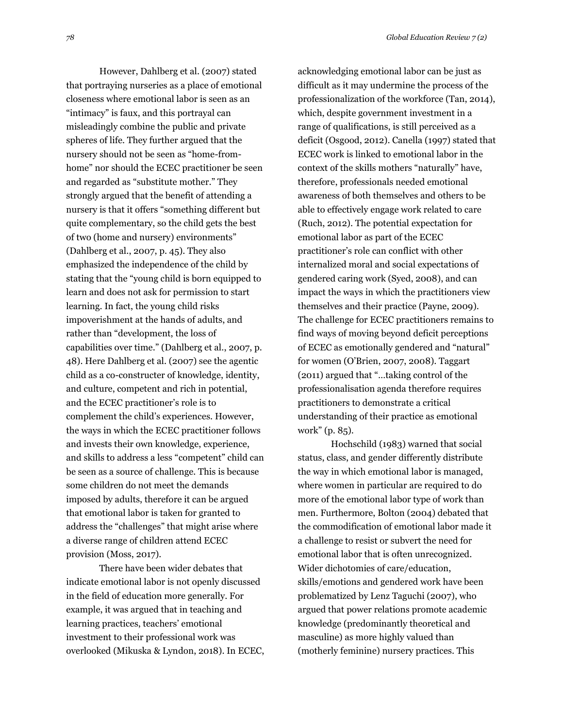However, Dahlberg et al. (2007) stated that portraying nurseries as a place of emotional closeness where emotional labor is seen as an "intimacy" is faux, and this portrayal can misleadingly combine the public and private spheres of life. They further argued that the nursery should not be seen as "home-fromhome" nor should the ECEC practitioner be seen and regarded as "substitute mother." They strongly argued that the benefit of attending a nursery is that it offers "something different but quite complementary, so the child gets the best of two (home and nursery) environments" (Dahlberg et al., 2007, p. 45). They also emphasized the independence of the child by stating that the "young child is born equipped to learn and does not ask for permission to start learning. In fact, the young child risks impoverishment at the hands of adults, and rather than "development, the loss of capabilities over time." (Dahlberg et al., 2007, p. 48). Here Dahlberg et al. (2007) see the agentic child as a co-constructer of knowledge, identity, and culture, competent and rich in potential, and the ECEC practitioner's role is to complement the child's experiences. However, the ways in which the ECEC practitioner follows and invests their own knowledge, experience, and skills to address a less "competent" child can be seen as a source of challenge. This is because some children do not meet the demands imposed by adults, therefore it can be argued that emotional labor is taken for granted to address the "challenges" that might arise where a diverse range of children attend ECEC

There have been wider debates that indicate emotional labor is not openly discussed in the field of education more generally. For example, it was argued that in teaching and learning practices, teachers' emotional investment to their professional work was overlooked (Mikuska & Lyndon, 2018). In ECEC,

provision (Moss, 2017).

acknowledging emotional labor can be just as difficult as it may undermine the process of the professionalization of the workforce (Tan, 2014), which, despite government investment in a range of qualifications, is still perceived as a deficit (Osgood, 2012). Canella (1997) stated that ECEC work is linked to emotional labor in the context of the skills mothers "naturally" have, therefore, professionals needed emotional awareness of both themselves and others to be able to effectively engage work related to care (Ruch, 2012). The potential expectation for emotional labor as part of the ECEC practitioner's role can conflict with other internalized moral and social expectations of gendered caring work (Syed, 2008), and can impact the ways in which the practitioners view themselves and their practice (Payne, 2009). The challenge for ECEC practitioners remains to find ways of moving beyond deficit perceptions of ECEC as emotionally gendered and "natural" for women (O'Brien, 2007, 2008). Taggart (2011) argued that "…taking control of the professionalisation agenda therefore requires practitioners to demonstrate a critical understanding of their practice as emotional work" (p. 85).

Hochschild (1983) warned that social status, class, and gender differently distribute the way in which emotional labor is managed, where women in particular are required to do more of the emotional labor type of work than men. Furthermore, Bolton (2004) debated that the commodification of emotional labor made it a challenge to resist or subvert the need for emotional labor that is often unrecognized. Wider dichotomies of care/education, skills/emotions and gendered work have been problematized by Lenz Taguchi (2007), who argued that power relations promote academic knowledge (predominantly theoretical and masculine) as more highly valued than (motherly feminine) nursery practices. This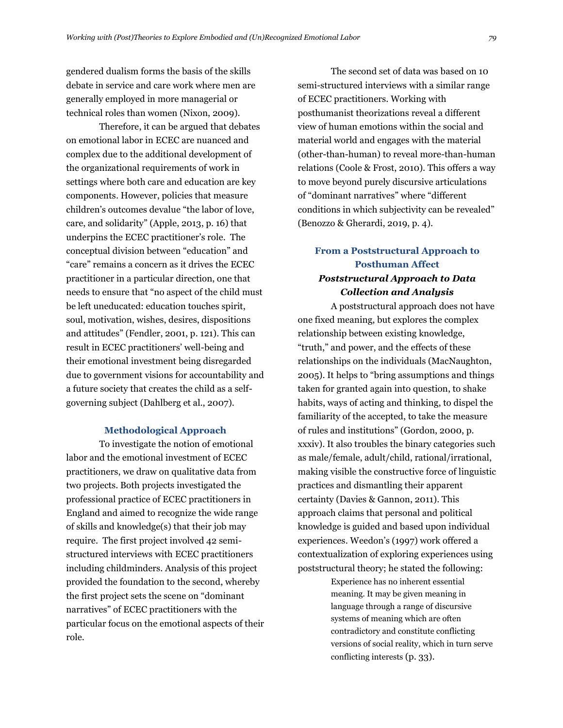gendered dualism forms the basis of the skills debate in service and care work where men are generally employed in more managerial or technical roles than women (Nixon, 2009).

Therefore, it can be argued that debates on emotional labor in ECEC are nuanced and complex due to the additional development of the organizational requirements of work in settings where both care and education are key components. However, policies that measure children's outcomes devalue "the labor of love, care, and solidarity" (Apple, 2013, p. 16) that underpins the ECEC practitioner's role. The conceptual division between "education" and "care" remains a concern as it drives the ECEC practitioner in a particular direction, one that needs to ensure that "no aspect of the child must be left uneducated: education touches spirit, soul, motivation, wishes, desires, dispositions and attitudes" (Fendler, 2001, p. 121). This can result in ECEC practitioners' well-being and their emotional investment being disregarded due to government visions for accountability and a future society that creates the child as a selfgoverning subject (Dahlberg et al., 2007).

#### **Methodological Approach**

To investigate the notion of emotional labor and the emotional investment of ECEC practitioners, we draw on qualitative data from two projects. Both projects investigated the professional practice of ECEC practitioners in England and aimed to recognize the wide range of skills and knowledge(s) that their job may require. The first project involved 42 semistructured interviews with ECEC practitioners including childminders. Analysis of this project provided the foundation to the second, whereby the first project sets the scene on "dominant narratives" of ECEC practitioners with the particular focus on the emotional aspects of their role.

The second set of data was based on 10 semi-structured interviews with a similar range of ECEC practitioners. Working with posthumanist theorizations reveal a different view of human emotions within the social and material world and engages with the material (other-than-human) to reveal more-than-human relations (Coole & Frost, 2010). This offers a way to move beyond purely discursive articulations of "dominant narratives" where "different conditions in which subjectivity can be revealed" (Benozzo & Gherardi, 2019, p. 4).

## **From a Poststructural Approach to Posthuman Affect** *Poststructural Approach to Data Collection and Analysis*

A poststructural approach does not have one fixed meaning, but explores the complex relationship between existing knowledge, "truth," and power, and the effects of these relationships on the individuals (MacNaughton, 2005). It helps to "bring assumptions and things taken for granted again into question, to shake habits, ways of acting and thinking, to dispel the familiarity of the accepted, to take the measure of rules and institutions" (Gordon, 2000, p. xxxiv). It also troubles the binary categories such as male/female, adult/child, rational/irrational, making visible the constructive force of linguistic practices and dismantling their apparent certainty (Davies & Gannon, 2011). This approach claims that personal and political knowledge is guided and based upon individual experiences. Weedon's (1997) work offered a contextualization of exploring experiences using poststructural theory; he stated the following:

> Experience has no inherent essential meaning. It may be given meaning in language through a range of discursive systems of meaning which are often contradictory and constitute conflicting versions of social reality, which in turn serve conflicting interests (p. 33).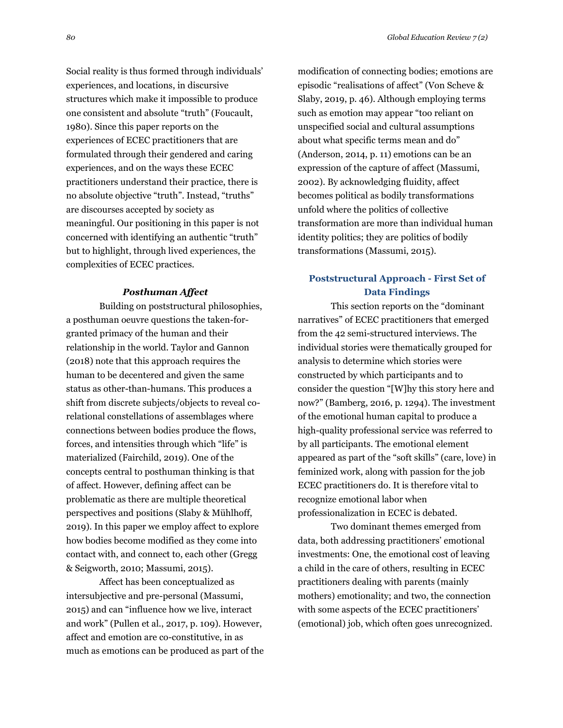Social reality is thus formed through individuals' experiences, and locations, in discursive structures which make it impossible to produce one consistent and absolute "truth" (Foucault, 1980). Since this paper reports on the experiences of ECEC practitioners that are formulated through their gendered and caring experiences, and on the ways these ECEC practitioners understand their practice, there is no absolute objective "truth". Instead, "truths" are discourses accepted by society as meaningful. Our positioning in this paper is not concerned with identifying an authentic "truth" but to highlight, through lived experiences, the complexities of ECEC practices.

#### *Posthuman Affect*

Building on poststructural philosophies, a posthuman oeuvre questions the taken-forgranted primacy of the human and their relationship in the world. Taylor and Gannon (2018) note that this approach requires the human to be decentered and given the same status as other-than-humans. This produces a shift from discrete subjects/objects to reveal corelational constellations of assemblages where connections between bodies produce the flows, forces, and intensities through which "life" is materialized (Fairchild, 2019). One of the concepts central to posthuman thinking is that of affect. However, defining affect can be problematic as there are multiple theoretical perspectives and positions (Slaby & Mühlhoff, 2019). In this paper we employ affect to explore how bodies become modified as they come into contact with, and connect to, each other (Gregg & Seigworth, 2010; Massumi, 2015).

Affect has been conceptualized as intersubjective and pre-personal (Massumi, 2015) and can "influence how we live, interact and work" (Pullen et al., 2017, p. 109). However, affect and emotion are co-constitutive, in as much as emotions can be produced as part of the modification of connecting bodies; emotions are episodic "realisations of affect" (Von Scheve & Slaby, 2019, p. 46). Although employing terms such as emotion may appear "too reliant on unspecified social and cultural assumptions about what specific terms mean and do" (Anderson, 2014, p. 11) emotions can be an expression of the capture of affect (Massumi, 2002). By acknowledging fluidity, affect becomes political as bodily transformations unfold where the politics of collective transformation are more than individual human identity politics; they are politics of bodily transformations (Massumi, 2015).

### **Poststructural Approach - First Set of Data Findings**

This section reports on the "dominant narratives" of ECEC practitioners that emerged from the 42 semi-structured interviews. The individual stories were thematically grouped for analysis to determine which stories were constructed by which participants and to consider the question "[W]hy this story here and now?" (Bamberg, 2016, p. 1294). The investment of the emotional human capital to produce a high-quality professional service was referred to by all participants. The emotional element appeared as part of the "soft skills" (care, love) in feminized work, along with passion for the job ECEC practitioners do. It is therefore vital to recognize emotional labor when professionalization in ECEC is debated.

Two dominant themes emerged from data, both addressing practitioners' emotional investments: One, the emotional cost of leaving a child in the care of others, resulting in ECEC practitioners dealing with parents (mainly mothers) emotionality; and two, the connection with some aspects of the ECEC practitioners' (emotional) job, which often goes unrecognized.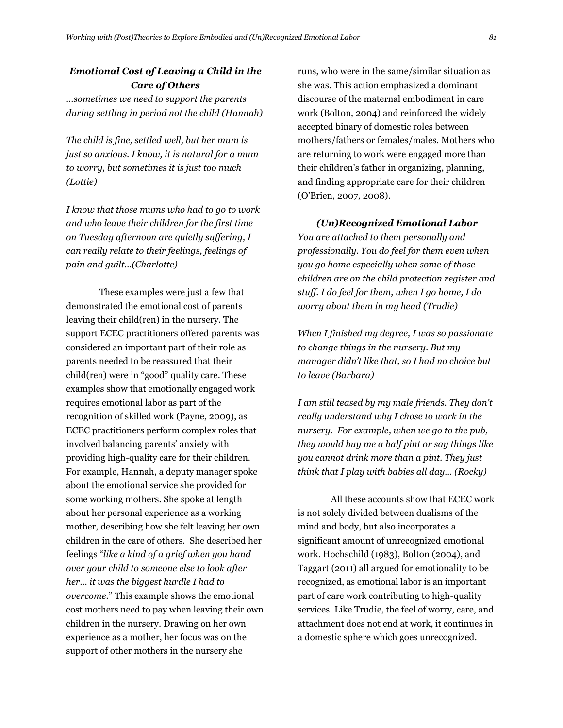## *Emotional Cost of Leaving a Child in the Care of Others*

*…sometimes we need to support the parents during settling in period not the child (Hannah)*

*The child is fine, settled well, but her mum is just so anxious. I know, it is natural for a mum to worry, but sometimes it is just too much (Lottie)*

*I know that those mums who had to go to work and who leave their children for the first time on Tuesday afternoon are quietly suffering, I can really relate to their feelings, feelings of pain and guilt…(Charlotte)*

These examples were just a few that demonstrated the emotional cost of parents leaving their child(ren) in the nursery. The support ECEC practitioners offered parents was considered an important part of their role as parents needed to be reassured that their child(ren) were in "good" quality care. These examples show that emotionally engaged work requires emotional labor as part of the recognition of skilled work (Payne, 2009), as ECEC practitioners perform complex roles that involved balancing parents' anxiety with providing high-quality care for their children. For example, Hannah, a deputy manager spoke about the emotional service she provided for some working mothers. She spoke at length about her personal experience as a working mother, describing how she felt leaving her own children in the care of others. She described her feelings "*like a kind of a grief when you hand over your child to someone else to look after her… it was the biggest hurdle I had to overcome*." This example shows the emotional cost mothers need to pay when leaving their own children in the nursery. Drawing on her own experience as a mother, her focus was on the support of other mothers in the nursery she

runs, who were in the same/similar situation as she was. This action emphasized a dominant discourse of the maternal embodiment in care work (Bolton, 2004) and reinforced the widely accepted binary of domestic roles between mothers/fathers or females/males. Mothers who are returning to work were engaged more than their children's father in organizing, planning, and finding appropriate care for their children (O'Brien, 2007, 2008).

*(Un)Recognized Emotional Labor You are attached to them personally and professionally. You do feel for them even when you go home especially when some of those children are on the child protection register and stuff. I do feel for them, when I go home, I do worry about them in my head (Trudie)* 

*When I finished my degree, I was so passionate to change things in the nursery. But my manager didn't like that, so I had no choice but to leave (Barbara)*

*I am still teased by my male friends. They don't really understand why I chose to work in the nursery. For example, when we go to the pub, they would buy me a half pint or say things like you cannot drink more than a pint. They just think that I play with babies all day… (Rocky)*

All these accounts show that ECEC work is not solely divided between dualisms of the mind and body, but also incorporates a significant amount of unrecognized emotional work. Hochschild (1983), Bolton (2004), and Taggart (2011) all argued for emotionality to be recognized, as emotional labor is an important part of care work contributing to high-quality services. Like Trudie, the feel of worry, care, and attachment does not end at work, it continues in a domestic sphere which goes unrecognized.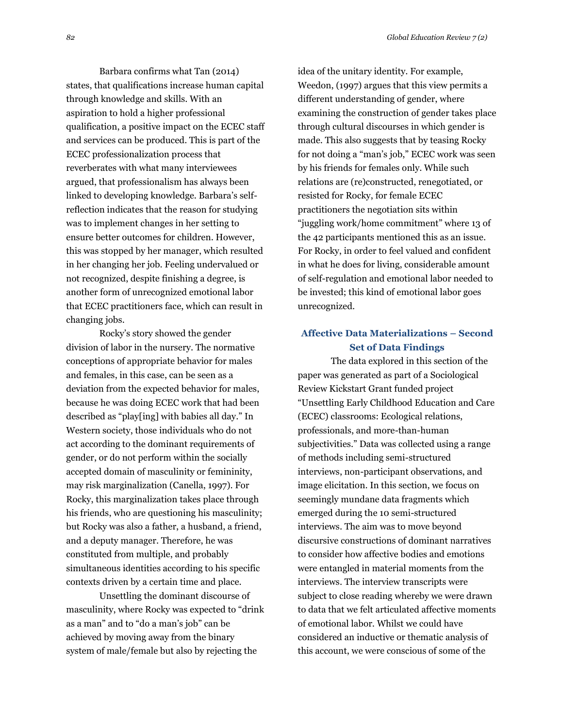Barbara confirms what Tan (2014) states, that qualifications increase human capital through knowledge and skills. With an aspiration to hold a higher professional qualification, a positive impact on the ECEC staff and services can be produced. This is part of the ECEC professionalization process that reverberates with what many interviewees argued, that professionalism has always been linked to developing knowledge. Barbara's selfreflection indicates that the reason for studying was to implement changes in her setting to ensure better outcomes for children. However, this was stopped by her manager, which resulted in her changing her job. Feeling undervalued or not recognized, despite finishing a degree, is another form of unrecognized emotional labor that ECEC practitioners face, which can result in changing jobs.

Rocky's story showed the gender division of labor in the nursery. The normative conceptions of appropriate behavior for males and females, in this case, can be seen as a deviation from the expected behavior for males, because he was doing ECEC work that had been described as "play[ing] with babies all day." In Western society, those individuals who do not act according to the dominant requirements of gender, or do not perform within the socially accepted domain of masculinity or femininity, may risk marginalization (Canella, 1997). For Rocky, this marginalization takes place through his friends, who are questioning his masculinity; but Rocky was also a father, a husband, a friend, and a deputy manager. Therefore, he was constituted from multiple, and probably simultaneous identities according to his specific contexts driven by a certain time and place.

Unsettling the dominant discourse of masculinity, where Rocky was expected to "drink as a man" and to "do a man's job" can be achieved by moving away from the binary system of male/female but also by rejecting the

idea of the unitary identity. For example, Weedon, (1997) argues that this view permits a different understanding of gender, where examining the construction of gender takes place through cultural discourses in which gender is made. This also suggests that by teasing Rocky for not doing a "man's job," ECEC work was seen by his friends for females only. While such relations are (re)constructed, renegotiated, or resisted for Rocky, for female ECEC practitioners the negotiation sits within "juggling work/home commitment" where 13 of the 42 participants mentioned this as an issue. For Rocky, in order to feel valued and confident in what he does for living, considerable amount of self-regulation and emotional labor needed to be invested; this kind of emotional labor goes unrecognized.

### **Affective Data Materializations – Second Set of Data Findings**

The data explored in this section of the paper was generated as part of a Sociological Review Kickstart Grant funded project "Unsettling Early Childhood Education and Care (ECEC) classrooms: Ecological relations, professionals, and more-than-human subjectivities." Data was collected using a range of methods including semi-structured interviews, non-participant observations, and image elicitation. In this section, we focus on seemingly mundane data fragments which emerged during the 10 semi-structured interviews. The aim was to move beyond discursive constructions of dominant narratives to consider how affective bodies and emotions were entangled in material moments from the interviews. The interview transcripts were subject to close reading whereby we were drawn to data that we felt articulated affective moments of emotional labor. Whilst we could have considered an inductive or thematic analysis of this account, we were conscious of some of the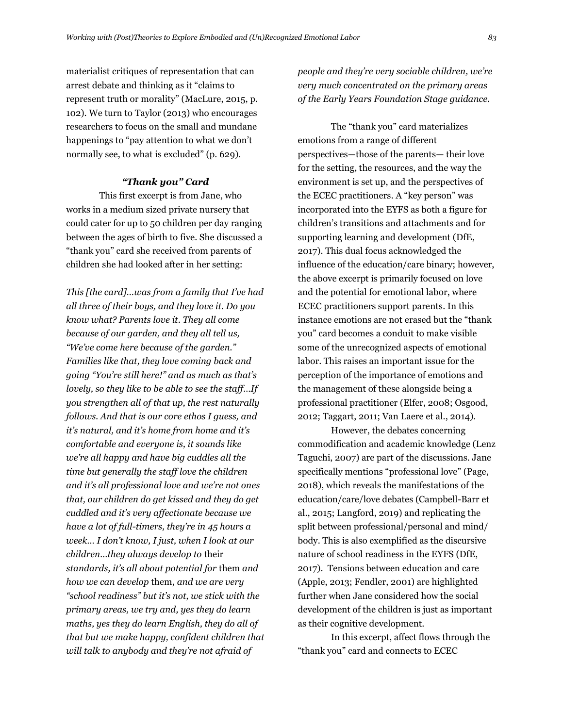materialist critiques of representation that can arrest debate and thinking as it "claims to represent truth or morality" (MacLure, 2015, p. 102). We turn to Taylor (2013) who encourages researchers to focus on the small and mundane happenings to "pay attention to what we don't normally see, to what is excluded" (p. 629).

### *"Thank you" Card*

This first excerpt is from Jane, who works in a medium sized private nursery that could cater for up to 50 children per day ranging between the ages of birth to five. She discussed a "thank you" card she received from parents of children she had looked after in her setting:

*This [the card]…was from a family that I've had all three of their boys, and they love it. Do you know what? Parents love it. They all come because of our garden, and they all tell us, "We've come here because of the garden." Families like that, they love coming back and going "You're still here!" and as much as that's lovely, so they like to be able to see the staff…If you strengthen all of that up, the rest naturally follows. And that is our core ethos I guess, and it's natural, and it's home from home and it's comfortable and everyone is, it sounds like we're all happy and have big cuddles all the time but generally the staff love the children and it's all professional love and we're not ones that, our children do get kissed and they do get cuddled and it's very affectionate because we have a lot of full-timers, they're in 45 hours a week… I don't know, I just, when I look at our children…they always develop to* their *standards, it's all about potential for* them *and how we can develop* them*, and we are very "school readiness" but it's not, we stick with the primary areas, we try and, yes they do learn maths, yes they do learn English, they do all of that but we make happy, confident children that will talk to anybody and they're not afraid of* 

*people and they're very sociable children, we're very much concentrated on the primary areas of the Early Years Foundation Stage guidance.*

The "thank you" card materializes emotions from a range of different perspectives—those of the parents— their love for the setting, the resources, and the way the environment is set up, and the perspectives of the ECEC practitioners. A "key person" was incorporated into the EYFS as both a figure for children's transitions and attachments and for supporting learning and development (DfE, 2017). This dual focus acknowledged the influence of the education/care binary; however, the above excerpt is primarily focused on love and the potential for emotional labor, where ECEC practitioners support parents. In this instance emotions are not erased but the "thank you" card becomes a conduit to make visible some of the unrecognized aspects of emotional labor. This raises an important issue for the perception of the importance of emotions and the management of these alongside being a professional practitioner (Elfer, 2008; Osgood, 2012; Taggart, 2011; Van Laere et al., 2014).

However, the debates concerning commodification and academic knowledge (Lenz Taguchi, 2007) are part of the discussions. Jane specifically mentions "professional love" (Page, 2018), which reveals the manifestations of the education/care/love debates (Campbell-Barr et al., 2015; Langford, 2019) and replicating the split between professional/personal and mind/ body. This is also exemplified as the discursive nature of school readiness in the EYFS (DfE, 2017). Tensions between education and care (Apple, 2013; Fendler, 2001) are highlighted further when Jane considered how the social development of the children is just as important as their cognitive development.

In this excerpt, affect flows through the "thank you" card and connects to ECEC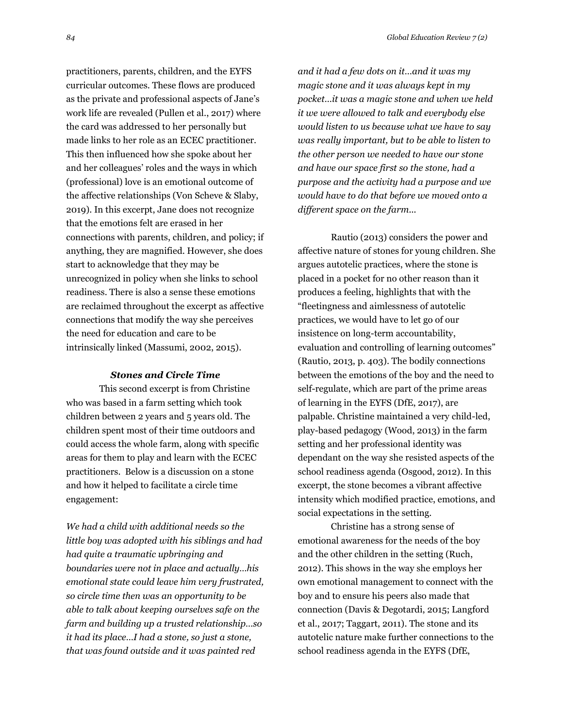practitioners, parents, children, and the EYFS curricular outcomes. These flows are produced as the private and professional aspects of Jane's work life are revealed (Pullen et al., 2017) where the card was addressed to her personally but made links to her role as an ECEC practitioner. This then influenced how she spoke about her and her colleagues' roles and the ways in which (professional) love is an emotional outcome of the affective relationships (Von Scheve & Slaby, 2019). In this excerpt, Jane does not recognize that the emotions felt are erased in her connections with parents, children, and policy; if anything, they are magnified. However, she does start to acknowledge that they may be unrecognized in policy when she links to school readiness. There is also a sense these emotions are reclaimed throughout the excerpt as affective connections that modify the way she perceives the need for education and care to be intrinsically linked (Massumi, 2002, 2015).

#### *Stones and Circle Time*

This second excerpt is from Christine who was based in a farm setting which took children between 2 years and 5 years old. The children spent most of their time outdoors and could access the whole farm, along with specific areas for them to play and learn with the ECEC practitioners. Below is a discussion on a stone and how it helped to facilitate a circle time engagement:

*We had a child with additional needs so the little boy was adopted with his siblings and had had quite a traumatic upbringing and boundaries were not in place and actually…his emotional state could leave him very frustrated, so circle time then was an opportunity to be able to talk about keeping ourselves safe on the farm and building up a trusted relationship…so it had its place…I had a stone, so just a stone, that was found outside and it was painted red* 

*and it had a few dots on it…and it was my magic stone and it was always kept in my pocket…it was a magic stone and when we held it we were allowed to talk and everybody else would listen to us because what we have to say was really important, but to be able to listen to the other person we needed to have our stone and have our space first so the stone, had a purpose and the activity had a purpose and we would have to do that before we moved onto a different space on the farm...*

Rautio (2013) considers the power and affective nature of stones for young children. She argues autotelic practices, where the stone is placed in a pocket for no other reason than it produces a feeling, highlights that with the "fleetingness and aimlessness of autotelic practices, we would have to let go of our insistence on long-term accountability, evaluation and controlling of learning outcomes" (Rautio, 2013, p. 403). The bodily connections between the emotions of the boy and the need to self-regulate, which are part of the prime areas of learning in the EYFS (DfE, 2017), are palpable. Christine maintained a very child-led, play-based pedagogy (Wood, 2013) in the farm setting and her professional identity was dependant on the way she resisted aspects of the school readiness agenda (Osgood, 2012). In this excerpt, the stone becomes a vibrant affective intensity which modified practice, emotions, and social expectations in the setting.

Christine has a strong sense of emotional awareness for the needs of the boy and the other children in the setting (Ruch, 2012). This shows in the way she employs her own emotional management to connect with the boy and to ensure his peers also made that connection (Davis & Degotardi, 2015; Langford et al., 2017; Taggart, 2011). The stone and its autotelic nature make further connections to the school readiness agenda in the EYFS (DfE,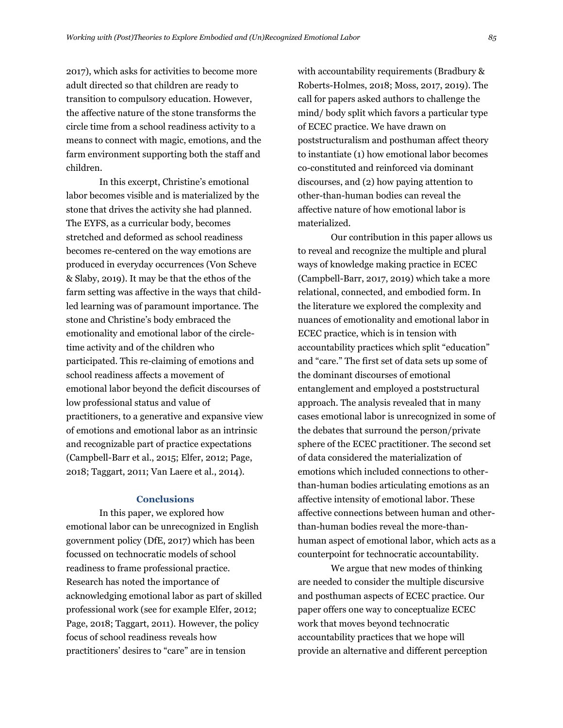2017), which asks for activities to become more adult directed so that children are ready to transition to compulsory education. However, the affective nature of the stone transforms the circle time from a school readiness activity to a means to connect with magic, emotions, and the farm environment supporting both the staff and children.

In this excerpt, Christine's emotional labor becomes visible and is materialized by the stone that drives the activity she had planned. The EYFS, as a curricular body, becomes stretched and deformed as school readiness becomes re-centered on the way emotions are produced in everyday occurrences (Von Scheve & Slaby, 2019). It may be that the ethos of the farm setting was affective in the ways that childled learning was of paramount importance. The stone and Christine's body embraced the emotionality and emotional labor of the circletime activity and of the children who participated. This re-claiming of emotions and school readiness affects a movement of emotional labor beyond the deficit discourses of low professional status and value of practitioners, to a generative and expansive view of emotions and emotional labor as an intrinsic and recognizable part of practice expectations (Campbell-Barr et al., 2015; Elfer, 2012; Page, 2018; Taggart, 2011; Van Laere et al., 2014).

#### **Conclusions**

In this paper, we explored how emotional labor can be unrecognized in English government policy (DfE, 2017) which has been focussed on technocratic models of school readiness to frame professional practice. Research has noted the importance of acknowledging emotional labor as part of skilled professional work (see for example Elfer, 2012; Page, 2018; Taggart, 2011). However, the policy focus of school readiness reveals how practitioners' desires to "care" are in tension

with accountability requirements (Bradbury & Roberts-Holmes, 2018; Moss, 2017, 2019). The call for papers asked authors to challenge the mind/ body split which favors a particular type of ECEC practice. We have drawn on poststructuralism and posthuman affect theory to instantiate (1) how emotional labor becomes co-constituted and reinforced via dominant discourses, and (2) how paying attention to other-than-human bodies can reveal the affective nature of how emotional labor is materialized.

Our contribution in this paper allows us to reveal and recognize the multiple and plural ways of knowledge making practice in ECEC (Campbell-Barr, 2017, 2019) which take a more relational, connected, and embodied form. In the literature we explored the complexity and nuances of emotionality and emotional labor in ECEC practice, which is in tension with accountability practices which split "education" and "care." The first set of data sets up some of the dominant discourses of emotional entanglement and employed a poststructural approach. The analysis revealed that in many cases emotional labor is unrecognized in some of the debates that surround the person/private sphere of the ECEC practitioner. The second set of data considered the materialization of emotions which included connections to otherthan-human bodies articulating emotions as an affective intensity of emotional labor. These affective connections between human and otherthan-human bodies reveal the more-thanhuman aspect of emotional labor, which acts as a counterpoint for technocratic accountability.

We argue that new modes of thinking are needed to consider the multiple discursive and posthuman aspects of ECEC practice. Our paper offers one way to conceptualize ECEC work that moves beyond technocratic accountability practices that we hope will provide an alternative and different perception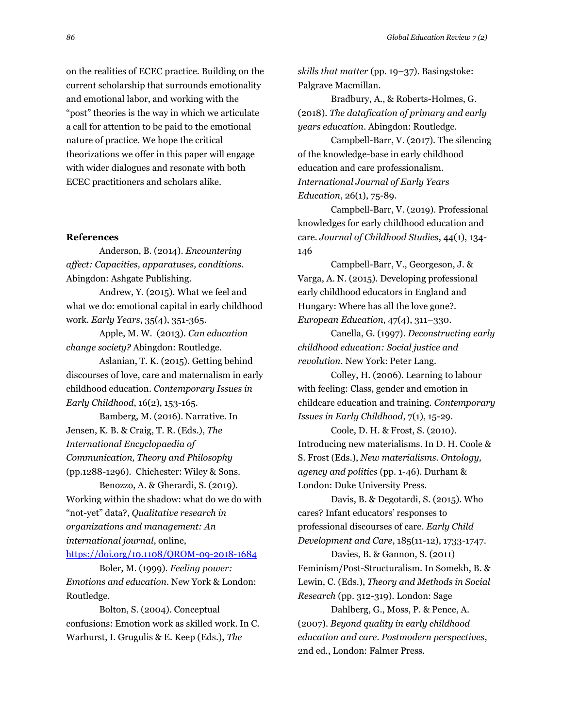on the realities of ECEC practice. Building on the current scholarship that surrounds emotionality and emotional labor, and working with the "post" theories is the way in which we articulate a call for attention to be paid to the emotional nature of practice. We hope the critical theorizations we offer in this paper will engage with wider dialogues and resonate with both ECEC practitioners and scholars alike.

#### **References**

Anderson, B. (2014). *Encountering affect: Capacities, apparatuses, conditions*. Abingdon: Ashgate Publishing.

Andrew, Y. (2015). What we feel and what we do: emotional capital in early childhood work. *Early Years*, 35(4), 351-365.

Apple, M. W. (2013). *Can education change society?* Abingdon: Routledge.

Aslanian, T. K. (2015). Getting behind discourses of love, care and maternalism in early childhood education. *Contemporary Issues in Early Childhood*, 16(2), 153-165.

Bamberg, M. (2016). Narrative. In Jensen, K. B. & Craig, T. R. (Eds.), *The International Encyclopaedia of Communication, Theory and Philosophy*  (pp.1288-1296). Chichester: Wiley & Sons.

Benozzo, A. & Gherardi, S. (2019). Working within the shadow: what do we do with "not-yet" data?, *Qualitative research in organizations and management: An international journal*, online,

<https://doi.org/10.1108/QROM-09-2018-1684>

Boler, M. (1999). *Feeling power: Emotions and education*. New York & London: Routledge.

Bolton, S. (2004). Conceptual confusions: Emotion work as skilled work. In C. Warhurst, I. Grugulis & E. Keep (Eds.), *The*

*skills that matter* (pp. 19–37). Basingstoke: Palgrave Macmillan.

Bradbury, A., & Roberts-Holmes, G. (2018). *The datafication of primary and early years education*. Abingdon: Routledge.

Campbell-Barr, V. (2017). The silencing of the knowledge-base in early childhood education and care professionalism. *International Journal of Early Years Education*, 26(1), 75-89.

Campbell-Barr, V. (2019). Professional knowledges for early childhood education and care. *Journal of Childhood Studies*, 44(1), 134- 146

Campbell-Barr, V., Georgeson, J. & Varga, A. N. (2015). Developing professional early childhood educators in England and Hungary: Where has all the love gone?. *European Education*, 47(4), 311–330.

Canella, G. (1997). *Deconstructing early childhood education: Social justice and revolution*. New York: Peter Lang.

Colley, H. (2006). Learning to labour with feeling: Class, gender and emotion in childcare education and training. *Contemporary Issues in Early Childhood*, 7(1), 15-29.

Coole, D. H. & Frost, S. (2010). Introducing new materialisms. In D. H. Coole & S. Frost (Eds.), *New materialisms. Ontology, agency and politics* (pp. 1-46). Durham & London: Duke University Press.

Davis, B. & Degotardi, S. (2015). Who cares? Infant educators' responses to professional discourses of care. *Early Child Development and Care*, 185(11-12), 1733-1747.

Davies, B. & Gannon, S. (2011) Feminism/Post-Structuralism. In Somekh, B. & Lewin, C. (Eds.), *Theory and Methods in Social Research* (pp. 312-319). London: Sage

Dahlberg, G., Moss, P. & Pence, A. (2007). *Beyond quality in early childhood education and care. Postmodern perspectives*, 2nd ed., London: Falmer Press.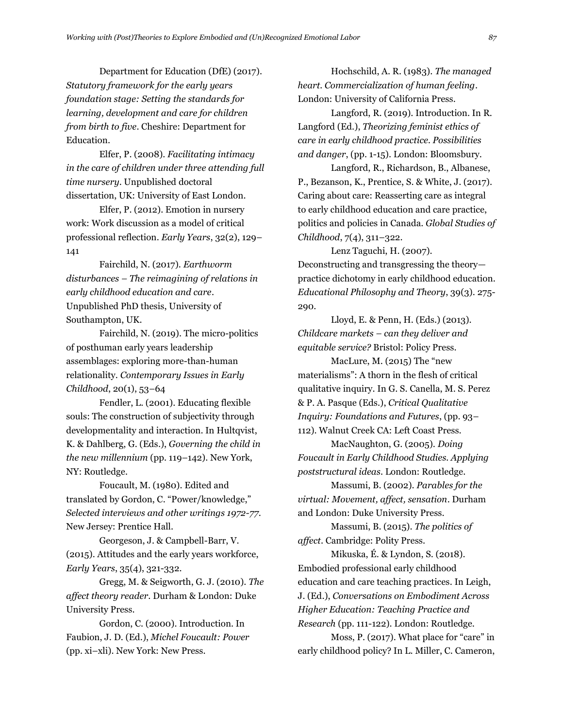Department for Education (DfE) (2017). *Statutory framework for the early years foundation stage: Setting the standards for learning, development and care for children from birth to five*. Cheshire: Department for Education.

Elfer, P. (2008). *Facilitating intimacy in the care of children under three attending full time nursery*. Unpublished doctoral dissertation, UK: University of East London.

Elfer, P. (2012). Emotion in nursery work: Work discussion as a model of critical professional reflection. *Early Years*, 32(2), 129– 141

Fairchild, N. (2017). *Earthworm disturbances – The reimagining of relations in early childhood education and care*. Unpublished PhD thesis, University of Southampton, UK.

Fairchild, N. (2019). The micro-politics of posthuman early years leadership assemblages: exploring more-than-human relationality. *Contemporary Issues in Early Childhood*, 20(1), 53–64

Fendler, L. (2001). Educating flexible souls: The construction of subjectivity through developmentality and interaction. In Hultqvist, K. & Dahlberg, G. (Eds.), *Governing the child in the new millennium* (pp. 119–142). New York, NY: Routledge.

Foucault, M. (1980). Edited and translated by Gordon, C. "Power/knowledge," *Selected interviews and other writings 1972-77*. New Jersey: Prentice Hall.

Georgeson, J. & Campbell-Barr, V. (2015). Attitudes and the early years workforce, *Early Years*, 35(4), 321-332.

Gregg, M. & Seigworth, G. J. (2010). *The affect theory reader*. Durham & London: Duke University Press.

Gordon, C. (2000). Introduction. In Faubion, J. D. (Ed.), *Michel Foucault: Power* (pp. xi–xli). New York: New Press.

Hochschild, A. R. (1983). *The managed heart. Commercialization of human feeling*. London: University of California Press.

Langford, R. (2019). Introduction. In R. Langford (Ed.), *Theorizing feminist ethics of care in early childhood practice. Possibilities and danger*, (pp. 1-15). London: Bloomsbury.

Langford, R., Richardson, B., Albanese, P., Bezanson, K., Prentice, S. & White, J. (2017). Caring about care: Reasserting care as integral to early childhood education and care practice, politics and policies in Canada. *Global Studies of Childhood*, 7(4), 311–322.

Lenz Taguchi, H. (2007). Deconstructing and transgressing the theory practice dichotomy in early childhood education. *Educational Philosophy and Theory*, 39(3). 275- 290.

Lloyd, E. & Penn, H. (Eds.) (2013). *Childcare markets – can they deliver and equitable service?* Bristol: Policy Press.

MacLure, M. (2015) The "new materialisms": A thorn in the flesh of critical qualitative inquiry. In G. S. Canella, M. S. Perez & P. A. Pasque (Eds.), *Critical Qualitative Inquiry: Foundations and Futures*, (pp. 93– 112). Walnut Creek CA: Left Coast Press.

MacNaughton, G. (2005). *Doing Foucault in Early Childhood Studies. Applying poststructural ideas*. London: Routledge.

Massumi, B. (2002). *Parables for the virtual: Movement, affect, sensation*. Durham and London: Duke University Press.

Massumi, B. (2015). *The politics of affect*. Cambridge: Polity Press.

Mikuska, É. & Lyndon, S. (2018). Embodied professional early childhood education and care teaching practices. In Leigh, J. (Ed.), *Conversations on Embodiment Across Higher Education: Teaching Practice and Research* (pp. 111-122). London: Routledge.

Moss, P. (2017). What place for "care" in early childhood policy? In L. Miller, C. Cameron,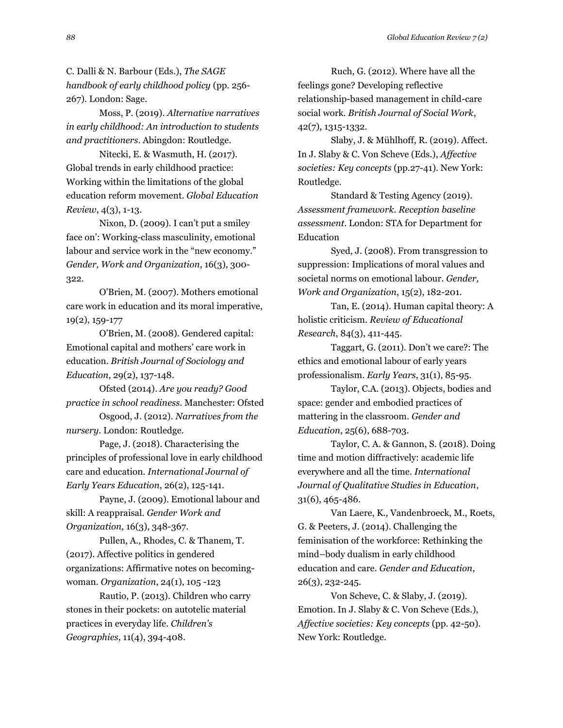C. Dalli & N. Barbour (Eds.), *The SAGE handbook of early childhood policy* (pp. 256- 267). London: Sage.

Moss, P. (2019). *Alternative narratives in early childhood: An introduction to students and practitioners*. Abingdon: Routledge.

Nitecki, E. & Wasmuth, H. (2017). Global trends in early childhood practice: Working within the limitations of the global education reform movement. *Global Education Review*, 4(3), 1-13.

Nixon, D. (2009). I can't put a smiley face on': Working-class masculinity, emotional labour and service work in the "new economy." *Gender, Work and Organization*, 16(3), 300- 322.

O'Brien, M. (2007). Mothers emotional care work in education and its moral imperative, 19(2), 159-177

O'Brien, M. (2008). Gendered capital: Emotional capital and mothers' care work in education. *British Journal of Sociology and Education*, 29(2), 137-148.

Ofsted (2014). *Are you ready? Good practice in school readiness*. Manchester: Ofsted

Osgood, J. (2012). *Narratives from the nursery*. London: Routledge.

Page, J. (2018). Characterising the principles of professional love in early childhood care and education. *International Journal of Early Years Education*, 26(2), 125-141.

Payne, J. (2009). Emotional labour and skill: A reappraisal. *Gender Work and Organization,* 16(3), 348-367.

Pullen, A., Rhodes, C. & Thanem, T. (2017). Affective politics in gendered organizations: Affirmative notes on becomingwoman. *Organization*, 24(1), 105 -123

Rautio, P. (2013). Children who carry stones in their pockets: on autotelic material practices in everyday life. *Children's Geographies*, 11(4), 394-408.

Ruch, G. (2012). Where have all the feelings gone? Developing reflective relationship-based management in child-care social work. *British Journal of Social Work*, 42(7), 1315-1332.

Slaby, J. & Mühlhoff, R. (2019). Affect. In J. Slaby & C. Von Scheve (Eds.), *Affective societies: Key concepts* (pp.27-41). New York: Routledge.

Standard & Testing Agency (2019). *Assessment framework. Reception baseline assessment*. London: STA for Department for Education

Syed, J. (2008). From transgression to suppression: Implications of moral values and societal norms on emotional labour. *Gender, Work and Organization*, 15(2), 182-201.

Tan, E. (2014). Human capital theory: A holistic criticism. *Review of Educational Research*, 84(3), 411-445.

Taggart, G. (2011). Don't we care?: The ethics and emotional labour of early years professionalism. *Early Years*, 31(1), 85-95.

Taylor, C.A. (2013). Objects, bodies and space: gender and embodied practices of mattering in the classroom. *Gender and Education*, 25(6), 688-703.

Taylor, C. A. & Gannon, S. (2018). Doing time and motion diffractively: academic life everywhere and all the time. *International Journal of Qualitative Studies in Education*, 31(6), 465-486.

Van Laere, K., Vandenbroeck, M., Roets, G. & Peeters, J. (2014). Challenging the feminisation of the workforce: Rethinking the mind–body dualism in early childhood education and care. *Gender and Education*, 26(3), 232-245.

Von Scheve, C. & Slaby, J. (2019). Emotion. In J. Slaby & C. Von Scheve (Eds.), *Affective societies: Key concepts* (pp. 42-50). New York: Routledge.